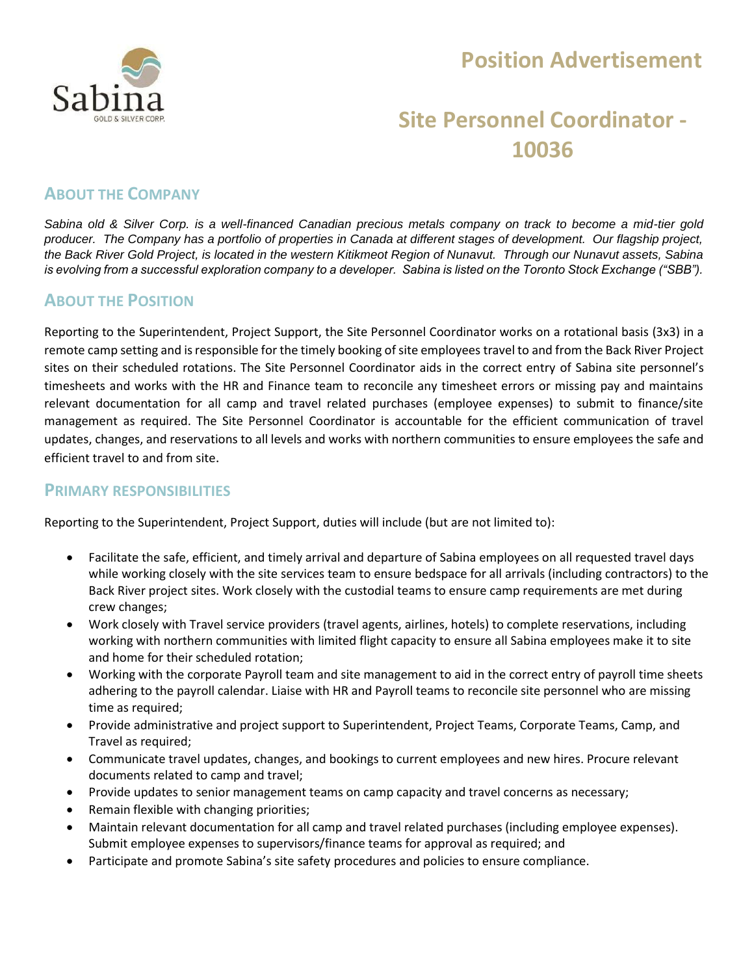

## **Position Advertisement**

# **Site Personnel Coordinator - 10036**

### **ABOUT THE COMPANY**

*Sabina old & Silver Corp. is a well-financed Canadian precious metals company on track to become a mid-tier gold producer. The Company has a portfolio of properties in Canada at different stages of development. Our flagship project, the Back River Gold Project, is located in the western Kitikmeot Region of Nunavut. Through our Nunavut assets, Sabina is evolving from a successful exploration company to a developer. Sabina is listed on the Toronto Stock Exchange ("SBB").*

### **ABOUT THE POSITION**

Reporting to the Superintendent, Project Support, the Site Personnel Coordinator works on a rotational basis (3x3) in a remote camp setting and is responsible for the timely booking of site employees travel to and from the Back River Project sites on their scheduled rotations. The Site Personnel Coordinator aids in the correct entry of Sabina site personnel's timesheets and works with the HR and Finance team to reconcile any timesheet errors or missing pay and maintains relevant documentation for all camp and travel related purchases (employee expenses) to submit to finance/site management as required. The Site Personnel Coordinator is accountable for the efficient communication of travel updates, changes, and reservations to all levels and works with northern communities to ensure employees the safe and efficient travel to and from site.

#### **PRIMARY RESPONSIBILITIES**

Reporting to the Superintendent, Project Support, duties will include (but are not limited to):

- Facilitate the safe, efficient, and timely arrival and departure of Sabina employees on all requested travel days while working closely with the site services team to ensure bedspace for all arrivals (including contractors) to the Back River project sites. Work closely with the custodial teams to ensure camp requirements are met during crew changes;
- Work closely with Travel service providers (travel agents, airlines, hotels) to complete reservations, including working with northern communities with limited flight capacity to ensure all Sabina employees make it to site and home for their scheduled rotation;
- Working with the corporate Payroll team and site management to aid in the correct entry of payroll time sheets adhering to the payroll calendar. Liaise with HR and Payroll teams to reconcile site personnel who are missing time as required;
- Provide administrative and project support to Superintendent, Project Teams, Corporate Teams, Camp, and Travel as required;
- Communicate travel updates, changes, and bookings to current employees and new hires. Procure relevant documents related to camp and travel;
- Provide updates to senior management teams on camp capacity and travel concerns as necessary;
- Remain flexible with changing priorities;
- Maintain relevant documentation for all camp and travel related purchases (including employee expenses). Submit employee expenses to supervisors/finance teams for approval as required; and
- Participate and promote Sabina's site safety procedures and policies to ensure compliance.